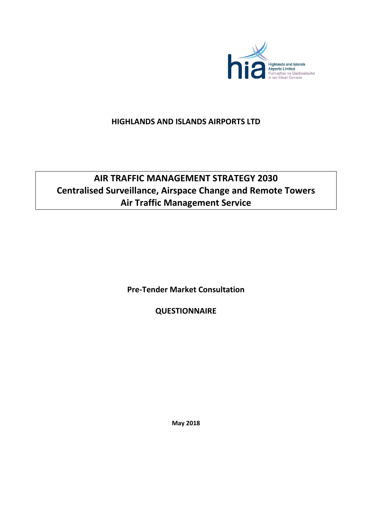

# **HIGHLANDS AND ISLANDS AIRPORTS LTD**

# **AIR TRAFFIC MANAGEMENT STRATEGY 2030 Centralised Surveillance, Airspace Change and Remote Towers Air Traffic Management Service**

**Pre-Tender Market Consultation**

**QUESTIONNAIRE** 

**May 2018**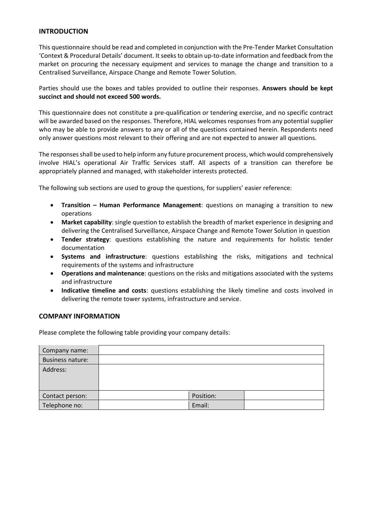# **INTRODUCTION**

This questionnaire should be read and completed in conjunction with the Pre-Tender Market Consultation 'Context & Procedural Details' document. It seeks to obtain up-to-date information and feedback from the market on procuring the necessary equipment and services to manage the change and transition to a Centralised Surveillance, Airspace Change and Remote Tower Solution.

Parties should use the boxes and tables provided to outline their responses. **Answers should be kept succinct and should not exceed 500 words.**

This questionnaire does not constitute a pre-qualification or tendering exercise, and no specific contract will be awarded based on the responses. Therefore, HIAL welcomes responses from any potential supplier who may be able to provide answers to any or all of the questions contained herein. Respondents need only answer questions most relevant to their offering and are not expected to answer all questions.

The responses shall be used to help inform any future procurement process, which would comprehensively involve HIAL's operational Air Traffic Services staff. All aspects of a transition can therefore be appropriately planned and managed, with stakeholder interests protected.

The following sub sections are used to group the questions, for suppliers' easier reference:

- **Transition – Human Performance Management**: questions on managing a transition to new operations
- **Market capability**: single question to establish the breadth of market experience in designing and delivering the Centralised Surveillance, Airspace Change and Remote Tower Solution in question
- **Tender strategy**: questions establishing the nature and requirements for holistic tender documentation
- **Systems and infrastructure**: questions establishing the risks, mitigations and technical requirements of the systems and infrastructure
- **Operations and maintenance**: questions on the risks and mitigations associated with the systems and infrastructure
- **Indicative timeline and costs**: questions establishing the likely timeline and costs involved in delivering the remote tower systems, infrastructure and service.

#### **COMPANY INFORMATION**

Please complete the following table providing your company details:

| Company name:           |           |  |
|-------------------------|-----------|--|
| <b>Business nature:</b> |           |  |
| Address:                |           |  |
| Contact person:         | Position: |  |
| Telephone no:           | Email:    |  |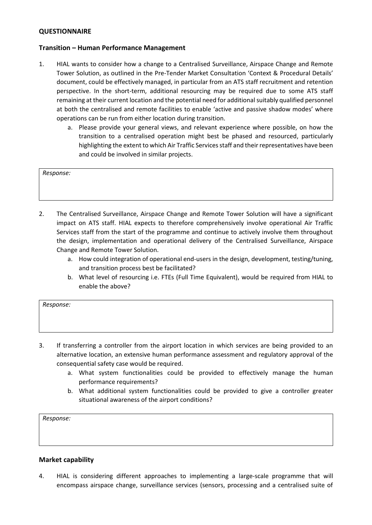# **QUESTIONNAIRE**

# **Transition – Human Performance Management**

- 1. HIAL wants to consider how a change to a Centralised Surveillance, Airspace Change and Remote Tower Solution, as outlined in the Pre-Tender Market Consultation 'Context & Procedural Details' document, could be effectively managed, in particular from an ATS staff recruitment and retention perspective. In the short-term, additional resourcing may be required due to some ATS staff remaining at their current location and the potential need for additional suitably qualified personnel at both the centralised and remote facilities to enable 'active and passive shadow modes' where operations can be run from either location during transition.
	- a. Please provide your general views, and relevant experience where possible, on how the transition to a centralised operation might best be phased and resourced, particularly highlighting the extent to which Air Traffic Services staff and their representatives have been and could be involved in similar projects.

#### *Response:*

- 2. The Centralised Surveillance, Airspace Change and Remote Tower Solution will have a significant impact on ATS staff. HIAL expects to therefore comprehensively involve operational Air Traffic Services staff from the start of the programme and continue to actively involve them throughout the design, implementation and operational delivery of the Centralised Surveillance, Airspace Change and Remote Tower Solution.
	- a. How could integration of operational end-users in the design, development, testing/tuning, and transition process best be facilitated?
	- b. What level of resourcing i.e. FTEs (Full Time Equivalent), would be required from HIAL to enable the above?

| Response: |  |  |  |
|-----------|--|--|--|
|           |  |  |  |
|           |  |  |  |

- 3. If transferring a controller from the airport location in which services are being provided to an alternative location, an extensive human performance assessment and regulatory approval of the consequential safety case would be required.
	- a. What system functionalities could be provided to effectively manage the human performance requirements?
	- b. What additional system functionalities could be provided to give a controller greater situational awareness of the airport conditions?

*Response:*

#### **Market capability**

4. HIAL is considering different approaches to implementing a large-scale programme that will encompass airspace change, surveillance services (sensors, processing and a centralised suite of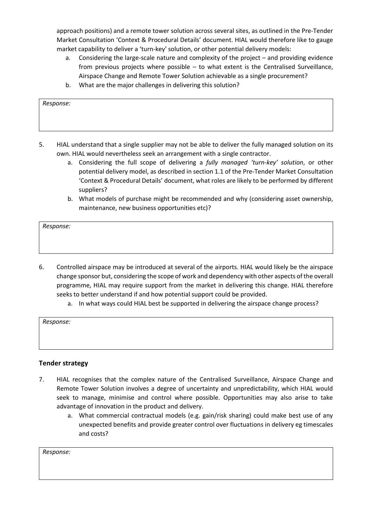approach positions) and a remote tower solution across several sites, as outlined in the Pre-Tender Market Consultation 'Context & Procedural Details' document. HIAL would therefore like to gauge market capability to deliver a 'turn-key' solution, or other potential delivery models:

- a. Considering the large-scale nature and complexity of the project and providing evidence from previous projects where possible – to what extent is the Centralised Surveillance, Airspace Change and Remote Tower Solution achievable as a single procurement?
- b. What are the major challenges in delivering this solution?

*Response:*

- 5. HIAL understand that a single supplier may not be able to deliver the fully managed solution on its own. HIAL would nevertheless seek an arrangement with a single contractor.
	- a. Considering the full scope of delivering a *fully managed 'turn-key' solution*, or other potential delivery model, as described in section 1.1 of the Pre-Tender Market Consultation 'Context & Procedural Details' document, what roles are likely to be performed by different suppliers?
	- b. What models of purchase might be recommended and why (considering asset ownership, maintenance, new business opportunities etc)?

*Response:*

- 6. Controlled airspace may be introduced at several of the airports. HIAL would likely be the airspace change sponsor but, considering the scope of work and dependency with other aspects of the overall programme, HIAL may require support from the market in delivering this change. HIAL therefore seeks to better understand if and how potential support could be provided.
	- a. In what ways could HIAL best be supported in delivering the airspace change process?

| Response: |  |  |  |
|-----------|--|--|--|
|           |  |  |  |

# **Tender strategy**

- 7. HIAL recognises that the complex nature of the Centralised Surveillance, Airspace Change and Remote Tower Solution involves a degree of uncertainty and unpredictability, which HIAL would seek to manage, minimise and control where possible. Opportunities may also arise to take advantage of innovation in the product and delivery.
	- a. What commercial contractual models (e.g. gain/risk sharing) could make best use of any unexpected benefits and provide greater control over fluctuations in delivery eg timescales and costs?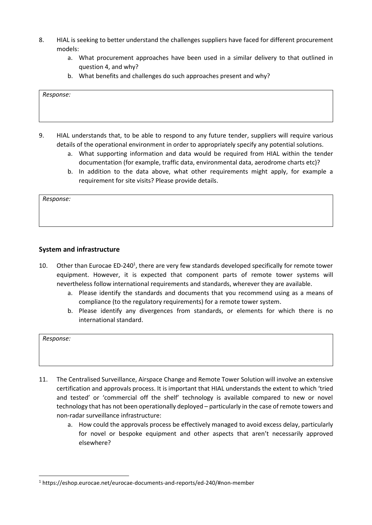- 8. HIAL is seeking to better understand the challenges suppliers have faced for different procurement models:
	- a. What procurement approaches have been used in a similar delivery to that outlined in question 4, and why?
	- b. What benefits and challenges do such approaches present and why?

#### *Response:*

- 9. HIAL understands that, to be able to respond to any future tender, suppliers will require various details of the operational environment in order to appropriately specify any potential solutions.
	- a. What supporting information and data would be required from HIAL within the tender documentation (for example, traffic data, environmental data, aerodrome charts etc)?
	- b. In addition to the data above, what other requirements might apply, for example a requirement for site visits? Please provide details.

*Response:*

 $\overline{a}$ 

# **System and infrastructure**

- 10. Other than Eurocae ED-240<sup>1</sup>, there are very few standards developed specifically for remote tower equipment. However, it is expected that component parts of remote tower systems will nevertheless follow international requirements and standards, wherever they are available.
	- a. Please identify the standards and documents that you recommend using as a means of compliance (to the regulatory requirements) for a remote tower system.
	- b. Please identify any divergences from standards, or elements for which there is no international standard.

- 11. The Centralised Surveillance, Airspace Change and Remote Tower Solution will involve an extensive certification and approvals process. It is important that HIAL understands the extent to which 'tried and tested' or 'commercial off the shelf' technology is available compared to new or novel technology that has not been operationally deployed – particularly in the case of remote towers and non-radar surveillance infrastructure:
	- a. How could the approvals process be effectively managed to avoid excess delay, particularly for novel or bespoke equipment and other aspects that aren't necessarily approved elsewhere?

<sup>1</sup> https://eshop.eurocae.net/eurocae-documents-and-reports/ed-240/#non-member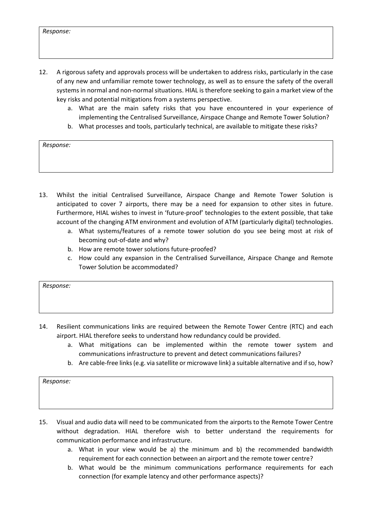- 12. A rigorous safety and approvals process will be undertaken to address risks, particularly in the case of any new and unfamiliar remote tower technology, as well as to ensure the safety of the overall systems in normal and non-normal situations. HIAL is therefore seeking to gain a market view of the key risks and potential mitigations from a systems perspective.
	- a. What are the main safety risks that you have encountered in your experience of implementing the Centralised Surveillance, Airspace Change and Remote Tower Solution?
	- b. What processes and tools, particularly technical, are available to mitigate these risks?

*Response:*

- 13. Whilst the initial Centralised Surveillance, Airspace Change and Remote Tower Solution is anticipated to cover 7 airports, there may be a need for expansion to other sites in future. Furthermore, HIAL wishes to invest in 'future-proof' technologies to the extent possible, that take account of the changing ATM environment and evolution of ATM (particularly digital) technologies.
	- a. What systems/features of a remote tower solution do you see being most at risk of becoming out-of-date and why?
	- b. How are remote tower solutions future-proofed?
	- c. How could any expansion in the Centralised Surveillance, Airspace Change and Remote Tower Solution be accommodated?

*Response:*

- 14. Resilient communications links are required between the Remote Tower Centre (RTC) and each airport. HIAL therefore seeks to understand how redundancy could be provided.
	- a. What mitigations can be implemented within the remote tower system and communications infrastructure to prevent and detect communications failures?
	- b. Are cable-free links (e.g. via satellite or microwave link) a suitable alternative and if so, how?

- 15. Visual and audio data will need to be communicated from the airports to the Remote Tower Centre without degradation. HIAL therefore wish to better understand the requirements for communication performance and infrastructure.
	- a. What in your view would be a) the minimum and b) the recommended bandwidth requirement for each connection between an airport and the remote tower centre?
	- b. What would be the minimum communications performance requirements for each connection (for example latency and other performance aspects)?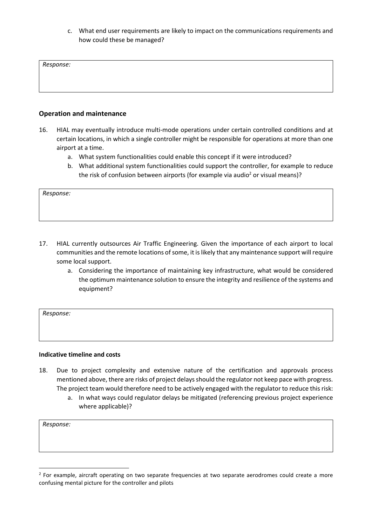c. What end user requirements are likely to impact on the communications requirements and how could these be managed?

*Response:*

# **Operation and maintenance**

- 16. HIAL may eventually introduce multi-mode operations under certain controlled conditions and at certain locations, in which a single controller might be responsible for operations at more than one airport at a time.
	- a. What system functionalities could enable this concept if it were introduced?
	- b. What additional system functionalities could support the controller, for example to reduce the risk of confusion between airports (for example via audio<sup>2</sup> or visual means)?

*Response:*

- 17. HIAL currently outsources Air Traffic Engineering. Given the importance of each airport to local communities and the remote locations of some, it is likely that any maintenance support will require some local support.
	- a. Considering the importance of maintaining key infrastructure, what would be considered the optimum maintenance solution to ensure the integrity and resilience of the systems and equipment?

*Response:*

#### **Indicative timeline and costs**

- 18. Due to project complexity and extensive nature of the certification and approvals process mentioned above, there are risks of project delays should the regulator not keep pace with progress. The project team would therefore need to be actively engaged with the regulator to reduce this risk:
	- a. In what ways could regulator delays be mitigated (referencing previous project experience where applicable)?

*Response:*

<sup>&</sup>lt;sup>2</sup> For example, aircraft operating on two separate frequencies at two separate aerodromes could create a more confusing mental picture for the controller and pilots